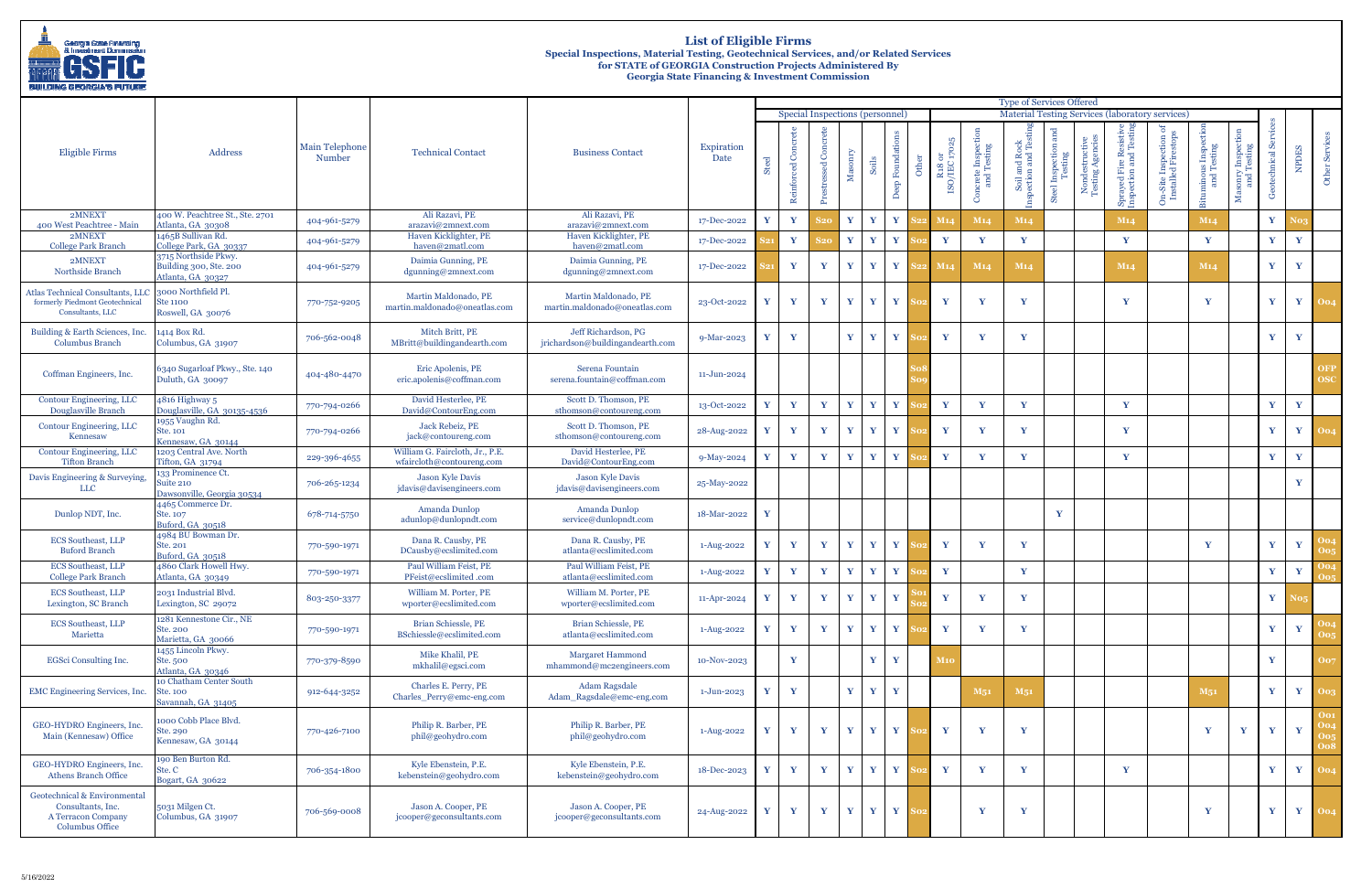| <b>BUILDING GEORGIA'S FUTURE</b>                                                                  |                                                                     |                          |                                                              |                                                         |                    |                                                                                                                       |                   |                          |                               |              |                  |                |                                    |                                  |                                    |                               |                                    |                                                   |                                                   |                                  |                              |                     |              |                          |
|---------------------------------------------------------------------------------------------------|---------------------------------------------------------------------|--------------------------|--------------------------------------------------------------|---------------------------------------------------------|--------------------|-----------------------------------------------------------------------------------------------------------------------|-------------------|--------------------------|-------------------------------|--------------|------------------|----------------|------------------------------------|----------------------------------|------------------------------------|-------------------------------|------------------------------------|---------------------------------------------------|---------------------------------------------------|----------------------------------|------------------------------|---------------------|--------------|--------------------------|
|                                                                                                   |                                                                     |                          |                                                              |                                                         |                    | <b>Type of Services Offered</b><br>Material Testing Services (laboratory services)<br>Special Inspections (personnel) |                   |                          |                               |              |                  |                |                                    |                                  |                                    |                               |                                    |                                                   |                                                   |                                  |                              |                     |              |                          |
|                                                                                                   |                                                                     |                          |                                                              |                                                         |                    |                                                                                                                       |                   |                          |                               |              |                  |                |                                    |                                  |                                    |                               |                                    |                                                   |                                                   |                                  |                              |                     |              |                          |
| Eligible Firms                                                                                    | Address                                                             | Main Telephone<br>Number | <b>Technical Contact</b>                                     | <b>Business Contact</b>                                 | Expiration<br>Date | ুন<br>සි                                                                                                              | ced Co<br>Reinfor | ssed Concrete<br>Prestre | $\label{eq:1} {\bf Massorry}$ | Soils        | Deep Foundations | $\overline{5}$ | $$\rm{R30}$ or $$\rm{ISO/IEC}$ 170 | ncrete Inspection<br>and Testing | ⊕<br>oil and Rock<br>ction and Tes | Steel Inspection a<br>Testing | Nondestructive<br>Testing Agencies | Resistive<br>nd Testin<br>d Fire<br>tion an<br>சு | <b>1-Site Inspection of</b><br>nstalled Firestops | minous Inspection<br>and Testing | sonry Inspect<br>and Testing | တိ<br>echnical<br>් | NPDES        | Other Servic             |
| 2MNEXT                                                                                            | 400 W. Peachtree St., Ste. 2701                                     | 404-961-5279             | Ali Razavi, PE                                               | Ali Razavi, PE                                          | 17-Dec-2022        | Y                                                                                                                     | Y                 | S20                      | Y                             | $\mathbf v$  | Y                |                | M14                                | M <sub>14</sub>                  | M <sub>14</sub>                    |                               |                                    | M14                                               |                                                   | M14                              |                              | $\mathbf{Y}$        |              |                          |
| 400 West Peachtree - Main<br>2MNEXT                                                               | Atlanta, GA 30308<br>1465B Sullivan Rd.                             |                          | arazavi@2mnext.com<br>Haven Kicklighter, PE                  | arazavi@2mnext.com<br>Haven Kicklighter, PE             |                    |                                                                                                                       |                   |                          |                               |              |                  |                |                                    |                                  |                                    |                               |                                    |                                                   |                                                   |                                  |                              |                     |              |                          |
| <b>College Park Branch</b>                                                                        | College Park, GA 30337                                              | 404-961-5279             | haven@2matl.com                                              | haven@2matl.com                                         | 17-Dec-2022        |                                                                                                                       | Y                 |                          | Y                             | $\mathbf{v}$ | Y                |                | $\mathbf{Y}$                       | $\mathbf{Y}$                     | V                                  |                               |                                    | Y                                                 |                                                   | Y                                |                              | Y                   | Y            |                          |
| 2MNEXT<br>Northside Branch                                                                        | 3715 Northside Pkwy.<br>Building 300, Ste. 200<br>Atlanta, GA 30327 | 404-961-5279             | Daimia Gunning, PE<br>$d$ gunning@2mnext.com                 | Daimia Gunning, PE<br>$d$ gunning@2mnext.com            | 17-Dec-2022        |                                                                                                                       | Y                 | Y                        | Y                             | $\mathbf{Y}$ | Y                |                | M14                                | M <sub>14</sub>                  | M14                                |                               |                                    | M14                                               |                                                   | M14                              |                              | Y                   | Y            |                          |
| Atlas Technical Consultants, LLC<br>formerly Piedmont Geotechnical<br>Consultants, LLC            | 3000 Northfield Pl.<br><b>Ste 1100</b><br>Roswell, GA 30076         | 770-752-9205             | Martin Maldonado, PE<br>martin.maldonado@oneatlas.com        | Martin Maldonado, PE<br>martin.maldonado@oneatlas.com   | 23-Oct-2022        | Y                                                                                                                     | Y                 | Y                        | $\mathbf{Y}$                  | $\mathbf{Y}$ | Y                |                | Y                                  | $\mathbf{v}$                     | $\mathbf v$                        |                               |                                    | Y                                                 |                                                   | $\mathbf{Y}$                     |                              | $\mathbf{Y}$        |              | $Y$ 004                  |
| Building & Earth Sciences, Inc.<br>Columbus Branch                                                | 1414 Box Rd.<br>Columbus, GA 31907                                  | 706-562-0048             | Mitch Britt, PE<br>MBritt@buildingandearth.com               | Jeff Richardson, PG<br>jrichardson@buildingandearth.com | 9-Mar-2023         | $\mathbf{v}$                                                                                                          | Y                 |                          | $\mathbf{Y}$                  | $\mathbf Y$  | Y                |                | $\mathbf{Y}$                       | $\mathbf{Y}$                     | Y                                  |                               |                                    |                                                   |                                                   |                                  |                              | $\mathbf{Y}$        | Y            |                          |
| Coffman Engineers, Inc.                                                                           | 6340 Sugarloaf Pkwy., Ste. 140<br>Duluth, GA 30097                  | 404-480-4470             | Eric Apolenis, PE<br>eric.apolenis@coffman.com               | Serena Fountain<br>serena.fountain@coffman.com          | 11-Jun-2024        |                                                                                                                       |                   |                          |                               |              |                  |                |                                    |                                  |                                    |                               |                                    |                                                   |                                                   |                                  |                              |                     |              | <b>OFP</b><br><b>OSC</b> |
| Contour Engineering, LLC<br>Douglasville Branch                                                   | 4816 Highway 5<br>Douglasville, GA 30135-4536                       | 770-794-0266             | David Hesterlee, PE<br>David@ContourEng.com                  | Scott D. Thomson, PE<br>sthomson@contoureng.com         | 13-Oct-2022        | $\mathbf Y$                                                                                                           | Y                 | Y                        | $\mathbf Y$                   | $\mathbf{Y}$ | Y                |                | $\mathbf{Y}$                       | $\mathbf{Y}$                     | Y                                  |                               |                                    | Y                                                 |                                                   |                                  |                              | Y                   | Y            |                          |
| Contour Engineering, LLC<br>Kennesaw                                                              | 1955 Vaughn Rd.<br>Ste. 101<br>Kennesaw, GA 30144                   | 770-794-0266             | Jack Rebeiz, PE<br>jack@contoureng.com                       | Scott D. Thomson, PE<br>sthomson@contoureng.com         | 28-Aug-2022        | Y                                                                                                                     | $\mathbf{Y}$      | Y                        | $\mathbf{Y}$                  | $\mathbf{Y}$ | Y                |                | Y                                  | $\mathbf{Y}$                     | $\mathbf v$                        |                               |                                    | $\mathbf{Y}$                                      |                                                   |                                  |                              | $\mathbf{Y}$        | Y            | 004                      |
| Contour Engineering, LLC<br><b>Tifton Branch</b>                                                  | 1203 Central Ave. North<br>Tifton, GA 31794                         | 229-396-4655             | William G. Faircloth, Jr., P.E.<br>wfaircloth@contoureng.com | David Hesterlee, PE<br>David@ContourEng.com             | 9-May-2024         | Y                                                                                                                     | $\mathbf v$       | Y                        | $\mathbf{Y}$                  | $\mathbf v$  | Y                |                | Y                                  | Y                                | v                                  |                               |                                    | Y                                                 |                                                   |                                  |                              | Y                   | Y            |                          |
| Davis Engineering & Surveying,<br><b>LLC</b>                                                      | 133 Prominence Ct.<br>Suite 210<br>Dawsonville, Georgia 30534       | 706-265-1234             | Jason Kyle Davis<br>jdavis@davisengineers.com                | <b>Jason Kyle Davis</b><br>jdavis@davisengineers.com    | 25-May-2022        |                                                                                                                       |                   |                          |                               |              |                  |                |                                    |                                  |                                    |                               |                                    |                                                   |                                                   |                                  |                              |                     | V            |                          |
| Dunlop NDT, Inc.                                                                                  | 4465 Commerce Dr.<br>Ste. 107<br>Buford, GA 30518                   | 678-714-5750             | Amanda Dunlop<br>adunlop@dunlopndt.com                       | Amanda Dunlop<br>service@dunlopndt.com                  | 18-Mar-2022        | Y                                                                                                                     |                   |                          |                               |              |                  |                |                                    |                                  |                                    | $\mathbf{Y}$                  |                                    |                                                   |                                                   |                                  |                              |                     |              |                          |
| <b>ECS Southeast, LLP</b><br><b>Buford Branch</b>                                                 | 4984 BU Bowman Dr.<br>Ste. 201<br>Buford, GA 30518                  | 770-590-1971             | Dana R. Causby, PE<br>DCausby@ecslimited.com                 | Dana R. Causby, PE<br>atlanta@ecslimited.com            | 1-Aug-2022         | Y                                                                                                                     | Y                 | Y                        | $\mathbf{Y}$                  | $\mathbf{Y}$ | Y                |                | $\mathbf{Y}$                       | $\mathbf{Y}$                     | Y                                  |                               |                                    |                                                   |                                                   | Y                                |                              | $\mathbf{Y}$        | Y            |                          |
| <b>ECS Southeast, LLP</b><br>College Park Branch                                                  | 4860 Clark Howell Hwy.<br>Atlanta, GA 30349                         | 770-590-1971             | Paul William Feist, PE<br>PFeist@ecslimited.com              | Paul William Feist, PE<br>atlanta@ecslimited.com        | 1-Aug-2022         | Y                                                                                                                     | Y                 | Y                        | $\mathbf{Y}$                  | Y            | Y                |                | $\mathbf Y$                        |                                  | Y                                  |                               |                                    |                                                   |                                                   |                                  |                              | Y                   | Y            |                          |
| <b>ECS</b> Southeast, LLP<br>Lexington, SC Branch                                                 | 2031 Industrial Blvd.<br>Lexington, SC 29072                        | 803-250-3377             | William M. Porter, PE<br>wporter@ecslimited.com              | William M. Porter, PE<br>wporter@ecslimited.com         | 11-Apr-2024        | Y                                                                                                                     | Y                 | Y                        | Y                             | $\mathbf{Y}$ | $\mathbf{Y}$     |                | Y                                  | $\mathbf{v}$                     | v                                  |                               |                                    |                                                   |                                                   |                                  |                              | $\mathbf{Y}$        |              |                          |
| <b>ECS</b> Southeast, LLP<br>Marietta                                                             | 1281 Kennestone Cir., NE<br>Ste. 200<br>Marietta, GA 30066          | 770-590-1971             | Brian Schiessle, PE<br>BSchiessle@ecslimited.com             | Brian Schiessle, PE<br>atlanta@ecslimited.com           | 1-Aug-2022         | Y                                                                                                                     | Y                 | Y                        | $\mathbf{Y}$                  | $\mathbf{Y}$ | $\mathbf{Y}$     |                | $\mathbf{Y}$                       | Y                                | $\mathbf{Y}$                       |                               |                                    |                                                   |                                                   |                                  |                              | $\mathbf{Y}$        | $\mathbf{Y}$ | 00 <sub>5</sub>          |
| EGSci Consulting Inc.                                                                             | 1455 Lincoln Pkwy.<br>Ste. 500<br>Atlanta, GA 30346                 | 770-379-8590             | Mike Khalil, PE<br>mkhalil@egsci.com                         | Margaret Hammond<br>mhammond@mc2engineers.com           | 10-Nov-2023        |                                                                                                                       | Y                 |                          |                               | $\mathbf{Y}$ | $\mathbf{Y}$     |                | <b>M10</b>                         |                                  |                                    |                               |                                    |                                                   |                                                   |                                  |                              | Y                   |              | 007                      |
| EMC Engineering Services, Inc.                                                                    | 10 Chatham Center South<br>Ste. 100<br>Savannah, GA 31405           | 912-644-3252             | Charles E. Perry, PE<br>Charles_Perry@emc-eng.com            | <b>Adam Ragsdale</b><br>Adam_Ragsdale@emc-eng.com       | $1 - Jun - 2023$   | Y                                                                                                                     | $\mathbf{Y}$      |                          | $\mathbf{Y}$                  | $\mathbf{Y}$ | Y                |                |                                    | M <sub>51</sub>                  | M <sub>51</sub>                    |                               |                                    |                                                   |                                                   | M <sub>51</sub>                  |                              | $\mathbf{Y}$        |              | $Y$ 003                  |
| GEO-HYDRO Engineers, Inc.<br>Main (Kennesaw) Office                                               | 1000 Cobb Place Blvd.<br>Ste. 290<br>Kennesaw, GA 30144             | 770-426-7100             | Philip R. Barber, PE<br>phil@geohydro.com                    | Philip R. Barber, PE<br>phil@geohydro.com               | 1-Aug-2022         | Y                                                                                                                     | $\mathbf{Y}$      | Y                        | Y                             | $\mathbf{Y}$ | $\mathbf{Y}$     |                | $\mathbf{Y}$                       | Y                                | $\mathbf{Y}$                       |                               |                                    |                                                   |                                                   | $\mathbf{Y}$                     | $\mathbf{Y}$                 | $\mathbf{Y}$        | Y            | <b>Oo4</b><br><b>Oo8</b> |
| GEO-HYDRO Engineers, Inc.<br>Athens Branch Office                                                 | 190 Ben Burton Rd.<br>Ste. C<br>Bogart, GA 30622                    | 706-354-1800             | Kyle Ebenstein, P.E.<br>kebenstein@geohydro.com              | Kyle Ebenstein, P.E.<br>kebenstein@geohydro.com         | 18-Dec-2023        | Y                                                                                                                     | Y                 | Y                        | $\mathbf{Y}$                  | Y            | $\mathbf{Y}$     |                | $\mathbf{Y}$                       | Y                                | Y                                  |                               |                                    | Y                                                 |                                                   |                                  |                              | $\mathbf{Y}$        | Y            | 004                      |
| Geotechnical & Environmental<br>Consultants, Inc.<br>A Terracon Company<br><b>Columbus Office</b> | 5031 Milgen Ct.<br>Columbus, GA 31907                               | 706-569-0008             | Jason A. Cooper, PE<br>jcooper@geconsultants.com             | Jason A. Cooper, PE<br>jcooper@geconsultants.com        | 24-Aug-2022        | $\mathbf{Y}$                                                                                                          | Y                 | Y                        | Y                             | $\mathbf{Y}$ | $\mathbf{Y}$     |                |                                    | $\mathbf{v}$                     | Y                                  |                               |                                    |                                                   |                                                   | $\mathbf{Y}$                     |                              | Y                   |              | $Y$ 004                  |



# **List of Eligible Firms Special Inspections, Material Testing, Geotechnical Services, and/or Related Services for STATE of GEORGIA Construction Projects Administered By Georgia State Financing & Investment Commission**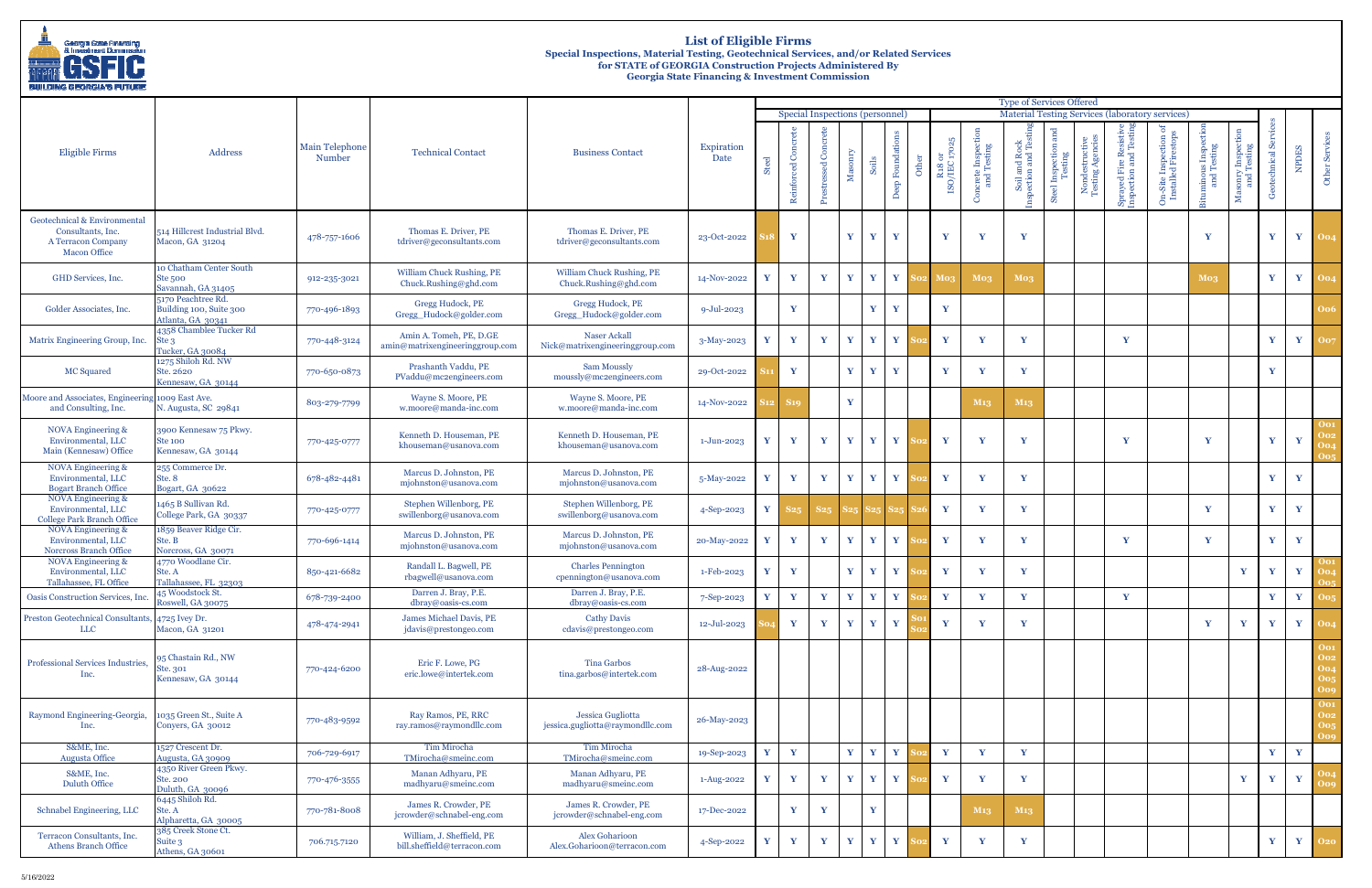

# **List of Eligible Firms Special Inspections, Material Testing, Geotechnical Services, and/or Related Services for STATE of GEORGIA Construction Projects Administered By Georgia State Financing & Investment Commission**

| <b>BUILDING GEORGIA'S FUTURE</b>                                                               |                                                                    |                          |                                                                             |                                                                                                     |                           |         |                                 |                      |              |              |                   |   |                                |                                  |                                   |                                              |                                                                |                                                |                                                 |                              |                               |                     |              |                                               |
|------------------------------------------------------------------------------------------------|--------------------------------------------------------------------|--------------------------|-----------------------------------------------------------------------------|-----------------------------------------------------------------------------------------------------|---------------------------|---------|---------------------------------|----------------------|--------------|--------------|-------------------|---|--------------------------------|----------------------------------|-----------------------------------|----------------------------------------------|----------------------------------------------------------------|------------------------------------------------|-------------------------------------------------|------------------------------|-------------------------------|---------------------|--------------|-----------------------------------------------|
|                                                                                                |                                                                    |                          |                                                                             |                                                                                                     |                           |         |                                 |                      |              |              |                   |   |                                |                                  | <b>Type of Services Offered</b>   |                                              |                                                                |                                                |                                                 |                              |                               |                     |              |                                               |
|                                                                                                |                                                                    |                          |                                                                             |                                                                                                     |                           |         | Special Inspections (personnel) |                      |              |              |                   |   |                                |                                  |                                   |                                              |                                                                |                                                | Material Testing Services (laboratory services) |                              |                               |                     |              |                                               |
| Eligible Firms                                                                                 | Address                                                            | Main Telephone<br>Number | <b>Technical Contact</b>                                                    | <b>Business Contact</b>                                                                             | Expiration<br><b>Date</b> | ್<br>के | Reinforced Concrete             | ed Co<br>sstres<br>Ĕ | Mas          |              | ep Foundatio<br>ă | đ | $\,$ R18 or $\,$ ISO/IEC 17025 | acrete Inspection<br>and Testing | Soil and Rock<br>pection and Test | and<br>tion<br>ng<br>Steel Inspect<br>Testin | $\begin{array}{c} \text{index} \\ \text{string A} \end{array}$ | Sprayed Fire Resistiv<br>inspection and Testin | On-Site Inspection of<br>Installed Firestops    | minous Inspec<br>and Testing | sonry Inspecti<br>and Testing | ŏ<br>technical<br>Ğ | NPDES        | Other Service                                 |
| Geotechnical & Environmental<br>Consultants, Inc.<br>A Terracon Company<br><b>Macon Office</b> | 514 Hillcrest Industrial Blvd.<br>Macon, GA 31204                  | 478-757-1606             | Thomas E. Driver, PE<br>tdriver@geconsultants.com                           | Thomas E. Driver, PE<br>tdriver@geconsultants.com                                                   | 23-Oct-2022               |         | $\mathbf{Y}$                    |                      | Y            | Y            | Y                 |   | Y                              | $\mathbf v$                      | $\mathbf{Y}$                      |                                              |                                                                |                                                |                                                 | Y                            |                               | Y                   | $\mathbf{Y}$ | <b>Oo4</b>                                    |
| GHD Services, Inc.                                                                             | 10 Chatham Center South<br>Ste 500<br>Savannah, GA 31405           | 912-235-3021             | William Chuck Rushing, PE<br>Chuck.Rushing@ghd.com                          | William Chuck Rushing, PE<br>Chuck.Rushing@ghd.com                                                  | 14-Nov-2022               | v       | $\mathbf{Y}$                    | V                    | Y            | v            | Y                 |   | Mos                            | Mo <sub>3</sub>                  | Mo <sub>3</sub>                   |                                              |                                                                |                                                |                                                 | Mo <sub>3</sub>              |                               | Y                   | Y            | <b>Oo4</b>                                    |
| Golder Associates, Inc.                                                                        | 5170 Peachtree Rd.<br>Building 100, Suite 300<br>Atlanta, GA 30341 | 770-496-1893             | Gregg Hudock, PE<br>Gregg Hudock@golder.com                                 | Gregg Hudock, PE<br>Gregg Hudock@golder.com                                                         | $9 - Jul - 2023$          |         | $\mathbf{Y}$                    |                      |              | $\mathbf{Y}$ | Y                 |   | $\mathbf{Y}$                   |                                  |                                   |                                              |                                                                |                                                |                                                 |                              |                               |                     |              | 006                                           |
| Matrix Engineering Group, Inc.                                                                 | 4358 Chamblee Tucker Rd<br>Ste <sub>3</sub><br>Tucker, GA 30084    | 770-448-3124             | Amin A. Tomeh, PE, D.GE<br>$\text{amin@matrix}\text{engineering}$ group.com | Naser Ackall<br>Nick@matrixengineeringgroup.com                                                     | 3-May-2023                |         | $\mathbf{Y}$                    | Y                    | Y            | $\mathbf{Y}$ | Y                 |   | Y                              | $\mathbf{v}$                     | Y                                 |                                              |                                                                | Y                                              |                                                 |                              |                               | $\mathbf{Y}$        | Y            | 007                                           |
| MC Squared                                                                                     | 1275 Shiloh Rd. NW<br>Ste. 2620<br>Kennesaw, GA 30144              | 770-650-0873             | Prashanth Vaddu, PE<br>PVaddu@mc2engineers.com                              | <b>Sam Moussly</b><br>moussly@mc2engineers.com                                                      | 29-Oct-2022               |         | $\mathbf{Y}$                    |                      | Y            | Y            | Y                 |   | $\mathbf{Y}$                   | Y                                | Y                                 |                                              |                                                                |                                                |                                                 |                              |                               | $\mathbf{v}$        |              |                                               |
| Moore and Associates, Engineering<br>and Consulting, Inc.                                      | 1009 East Ave.<br>N. Augusta, SC 29841                             | 803-279-7799             | Wayne S. Moore, PE<br>w.moore@manda-inc.com                                 | Wayne S. Moore, PE<br>w.moore@manda-inc.com                                                         | 14-Nov-2022               |         | S19                             |                      | Y            |              |                   |   |                                | M <sub>13</sub>                  | M <sub>13</sub>                   |                                              |                                                                |                                                |                                                 |                              |                               |                     |              |                                               |
| NOVA Engineering &<br>Environmental, LLC<br>Main (Kennesaw) Office                             | 3900 Kennesaw 75 Pkwy.<br><b>Ste 100</b><br>Kennesaw, GA 30144     | 770-425-0777             | Kenneth D. Houseman, PE<br>khouseman@usanova.com                            | Kenneth D. Houseman, PE<br>khouseman@usanova.com                                                    | $1-Jun-2023$              | Y       | $\mathbf{Y}$                    | Y                    | Y            | Y            | Y                 |   | Y                              | Y                                | Y                                 |                                              |                                                                | $\mathbf{V}$                                   |                                                 | Y                            |                               | Y                   | Y            | <b>Oo1</b><br>002<br>004<br>005               |
| NOVA Engineering &<br>Environmental, LLC<br><b>Bogart Branch Office</b>                        | 255 Commerce Dr.<br>Ste. 8<br>Bogart, GA 30622                     | 678-482-4481             | Marcus D. Johnston, PE<br>mjohnston@usanova.com                             | Marcus D. Johnston, PE<br>mjohnston@usanova.com                                                     | 5-May-2022                | Y       | $\mathbf{Y}$                    | Y                    | $\mathbf{Y}$ | $\mathbf{Y}$ | $\mathbf{Y}$      |   | Y                              | Y                                | $\mathbf{Y}$                      |                                              |                                                                |                                                |                                                 |                              |                               | Y                   | Y            |                                               |
| NOVA Engineering &<br>Environmental, LLC<br><b>College Park Branch Office</b>                  | 1465 B Sullivan Rd.<br>College Park, GA 30337                      | 770-425-0777             | Stephen Willenborg, PE<br>swillenborg@usanova.com                           | Stephen Willenborg, PE<br>swillenborg@usanova.com                                                   | 4-Sep-2023                | Y       | S25                             | S <sub>25</sub>      |              |              |                   |   | $\mathbf{Y}$                   | Y                                | Y                                 |                                              |                                                                |                                                |                                                 | Y                            |                               | Y                   | Y            |                                               |
| NOVA Engineering &<br>Environmental, LLC<br>Norcross Branch Office                             | 1859 Beaver Ridge Cir.<br>Ste. B<br>Norcross, GA 30071             | 770-696-1414             | Marcus D. Johnston, PE<br>mjohnston@usanova.com                             | Marcus D. Johnston, PE<br>mjohnston@usanova.com                                                     | 20-May-2022               |         | $\mathbf{Y}$                    | Y                    | Y            | $\mathbf{v}$ | Y                 |   | Y                              | Y                                | Y                                 |                                              |                                                                | Y                                              |                                                 | Y                            |                               | V                   | Y            |                                               |
| NOVA Engineering &<br>Environmental, LLC<br>Tallahassee, FL Office                             | 4770 Woodlane Cir.<br>Ste. A<br>Tallahassee, FL 32303              | 850-421-6682             | Randall L. Bagwell, PE<br>rbagwell@usanova.com                              | <b>Charles Pennington</b><br>cpennington@usanova.com                                                | 1-Feb-2023                | Y       | $\mathbf{Y}$                    |                      | Y            | Y            | Y                 |   | Y                              | Y                                | $\mathbf{Y}$                      |                                              |                                                                |                                                |                                                 |                              | $\mathbf{Y}$                  | Y                   | $\mathbf{Y}$ | <b>Oo1</b><br><b>Oo4</b>                      |
| Oasis Construction Services, Inc.                                                              | 45 Woodstock St.<br>Roswell, GA 30075                              | 678-739-2400             | Darren J. Bray, P.E.<br>dbray@oasis-cs.com                                  | Darren J. Bray, P.E.<br>dbray@oasis-cs.com                                                          | 7-Sep-2023                | Y       | $\mathbf{Y}$                    | $\mathbf{Y}$         | Y            | $\mathbf{v}$ | Y                 |   | $\mathbf Y$                    | Y                                | $\mathbf{Y}$                      |                                              |                                                                | Y                                              |                                                 |                              |                               | Y                   | Y            | <b>Oo5</b>                                    |
| <b>Preston Geotechnical Consultants,</b><br>LLC                                                | 4725 Ivey Dr.<br>Macon, GA 31201                                   | 478-474-2941             | James Michael Davis, PE<br>jdavis@prestongeo.com                            | <b>Cathy Davis</b><br>cdavis@prestongeo.com                                                         | 12-Jul-2023               |         | $\mathbf{Y}$                    | Y                    | Y            | Y            | Y                 |   | $\mathbf Y$                    | Y                                | Y                                 |                                              |                                                                |                                                |                                                 | Y                            | $\mathbf{Y}$                  | Y                   | Y            | 004                                           |
| Professional Services Industries,<br>Inc.                                                      | 95 Chastain Rd., NW<br>Ste. 301<br>Kennesaw, GA 30144              | 770-424-6200             | Eric F. Lowe, PG<br>eric.lowe@intertek.com                                  | Tina Garbos<br>tina.garbos@intertek.com                                                             | 28-Aug-2022               |         |                                 |                      |              |              |                   |   |                                |                                  |                                   |                                              |                                                                |                                                |                                                 |                              |                               |                     |              | <b>Oo1</b><br>002<br>004<br>005<br><b>Oo9</b> |
| Raymond Engineering-Georgia,<br>Inc.                                                           | 1035 Green St., Suite A<br>Conyers, GA 30012                       | 770-483-9592             | Ray Ramos, PE, RRC<br>ray.ramos@raymondllc.com                              | Jessica Gugliotta<br>jessica.gugliotta@raymondllc.com                                               | 26-May-2023               |         |                                 |                      |              |              |                   |   |                                |                                  |                                   |                                              |                                                                |                                                |                                                 |                              |                               |                     |              | <b>O01</b><br>002<br>005<br><b>Oo9</b>        |
| S&ME, Inc.<br><b>Augusta Office</b>                                                            | 1527 Crescent Dr.<br>Augusta, GA 30909                             | 706-729-6917             | Tim Mirocha<br>TMirocha@smeinc.com                                          | Tim Mirocha<br>TMirocha@smeinc.com                                                                  | 19-Sep-2023               | Y       | $\mathbf{Y}$                    |                      | Y            | $\mathbf{Y}$ | Y                 |   | $\mathbf{Y}$                   | Y                                | Y                                 |                                              |                                                                |                                                |                                                 |                              |                               | Y                   | $\mathbf Y$  |                                               |
| S&ME, Inc.<br>Duluth Office                                                                    | 4350 River Green Pkwy.<br>Ste. 200<br>Duluth, GA 30096             | 770-476-3555             | Manan Adhyaru, PE<br>madhyaru@smeinc.com                                    | Manan Adhyaru, PE<br>$\operatorname{madhyaru}\nolimits @ \operatorname{sme} \operatorname{inc.com}$ | 1-Aug-2022                | v       | $\mathbf{Y}$                    | Y                    | $\mathbf{Y}$ | Y            | Y                 |   | Y                              | Y                                | $\mathbf{Y}$                      |                                              |                                                                |                                                |                                                 |                              | $\mathbf{Y}$                  | Y                   | Y            | 004<br>009                                    |
| Schnabel Engineering, LLC                                                                      | 6445 Shiloh Rd.<br>Ste. A<br>Alpharetta, GA 30005                  | 770-781-8008             | James R. Crowder, PE<br>jcrowder@schnabel-eng.com                           | James R. Crowder, PE<br>jcrowder@schnabel-eng.com                                                   | 17-Dec-2022               |         | $\mathbf{Y}$                    | Y                    |              | Y            |                   |   |                                | M <sub>13</sub>                  | $M_{13}$                          |                                              |                                                                |                                                |                                                 |                              |                               |                     |              |                                               |
| Terracon Consultants, Inc.<br><b>Athens Branch Office</b>                                      | 385 Creek Stone Ct.<br>Suite 3<br>Athens, GA 30601                 | 706.715.7120             | William, J. Sheffield, PE<br>bill.sheffield@terracon.com                    | <b>Alex Goharioon</b><br>Alex.Goharioon@terracon.com                                                | 4-Sep-2022                | Y       | $\mathbf{Y}$                    | Y                    | $\mathbf{Y}$ | $\mathbf{Y}$ | $\mathbf{Y}$      |   | Y                              | Y                                | Y                                 |                                              |                                                                |                                                |                                                 |                              |                               | $\mathbf{Y}$        |              | <b>Y</b> 020                                  |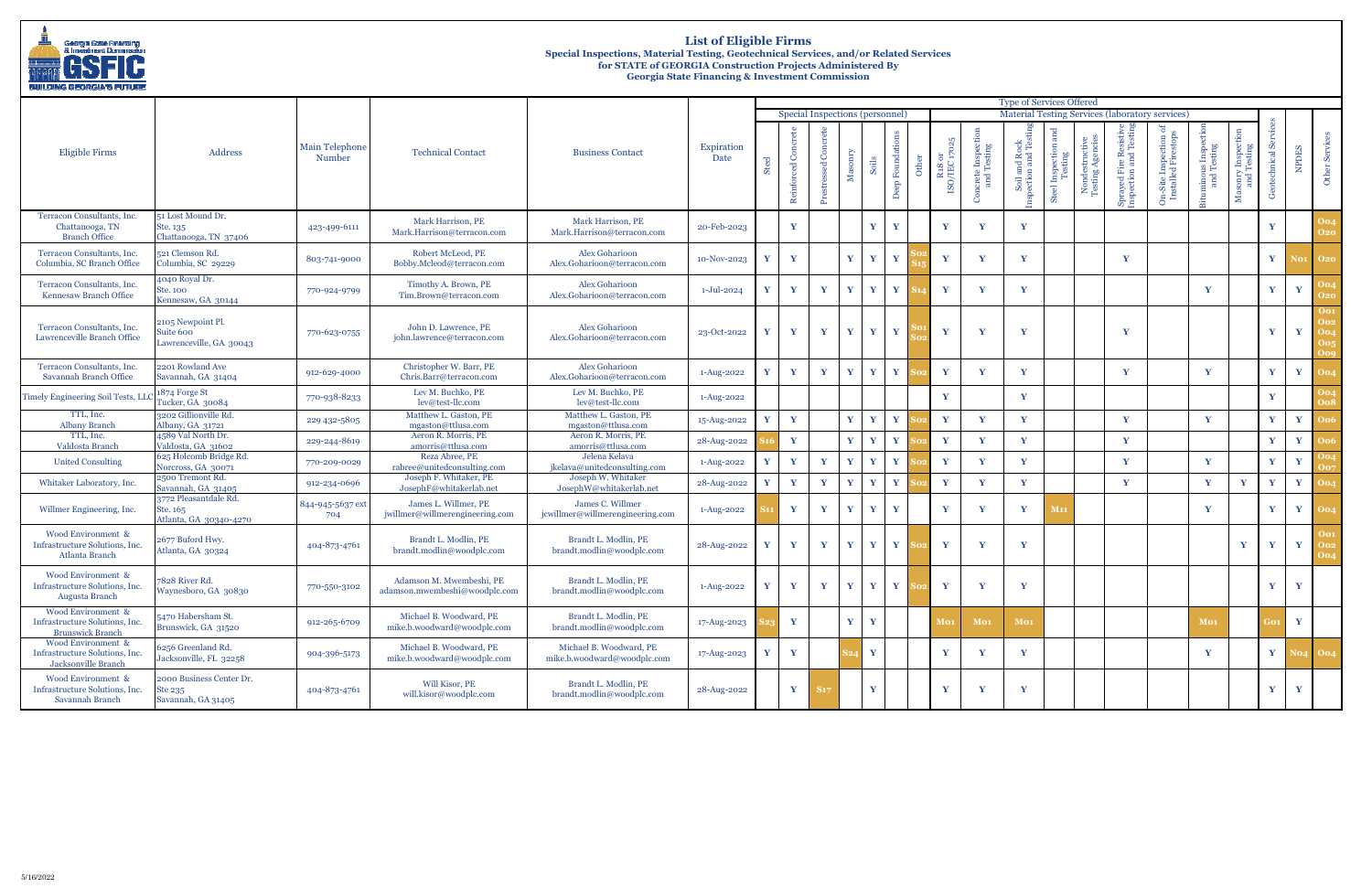

# **List of Eligible Firms Special Inspections, Material Testing, Geotechnical Services, and/or Related Services for STATE of GEORGIA Construction Projects Administered By Georgia State Financing & Investment Commission**

| BUILDING GEORGIA'S FUTURE                                                       |                                                             |                                 |                                                           |                                                        |                             |   |               |                                 |              |                              |                           |                                           |                                    |                                        |                            |                                    |                                         |                                                        |                                   |                                                 |                    |              |                                                      |
|---------------------------------------------------------------------------------|-------------------------------------------------------------|---------------------------------|-----------------------------------------------------------|--------------------------------------------------------|-----------------------------|---|---------------|---------------------------------|--------------|------------------------------|---------------------------|-------------------------------------------|------------------------------------|----------------------------------------|----------------------------|------------------------------------|-----------------------------------------|--------------------------------------------------------|-----------------------------------|-------------------------------------------------|--------------------|--------------|------------------------------------------------------|
|                                                                                 |                                                             |                                 |                                                           |                                                        |                             |   |               |                                 |              |                              |                           |                                           |                                    | <b>Type of Services Offered</b>        |                            |                                    |                                         |                                                        |                                   |                                                 |                    |              |                                                      |
|                                                                                 |                                                             |                                 |                                                           |                                                        |                             |   |               | Special Inspections (personnel) |              |                              |                           |                                           |                                    |                                        |                            |                                    |                                         | <b>Material Testing Services (laboratory services)</b> |                                   |                                                 |                    |              |                                                      |
| Eligible Firms                                                                  | Address                                                     | <b>Main Telephone</b><br>Number | <b>Technical Contact</b>                                  | <b>Business Contact</b>                                | Expiration<br>Date          | ಹ | Reinforced Co | ssed Concrete<br>Prestres       | $M$ asonry   | Soils                        | Deep Foundations<br>Other | $_{\rm R30}$ R18 or $_{\rm ISO/IEC}$ 1702 | crete Inspecti<br>and Testing<br>౧ | nd Rocl<br>and Te<br>Soil an<br>ection | and<br>Steel Inspe<br>Test | Nondestructive<br>Testing Agencies | ved Fire Resistive<br>ction and Testing | On-Site Inspection or<br>Installed Firestops           | uminous Inspection<br>and Testing | sonry Inspecti<br>and Testing<br>$\mathbb{M}^a$ | otechnical \$<br>් | <b>NPDES</b> | Other Servic                                         |
| Terracon Consultants, Inc.<br>Chattanooga, TN<br><b>Branch Office</b>           | 51 Lost Mound Dr.<br>Ste. 135<br>Chattanooga, TN 37406      | 423-499-6111                    | Mark Harrison, PE<br>Mark.Harrison@terracon.com           | Mark Harrison, PE<br>Mark.Harrison@terracon.com        | 20-Feb-2023                 |   | $\mathbf{Y}$  |                                 |              | $\mathbf{Y}$<br>$\mathbf{Y}$ |                           | Y                                         | $\mathbf{Y}$                       | $\mathbf{v}$                           |                            |                                    |                                         |                                                        |                                   |                                                 | Y                  |              | 004<br><b>O20</b>                                    |
| Terracon Consultants, Inc.<br>Columbia, SC Branch Office                        | 521 Clemson Rd.<br>Columbia, SC 29229                       | 803-741-9000                    | Robert McLeod, PE<br>Bobby.Mcleod@terracon.com            | Alex Goharioon<br>Alex.Goharioon@terracon.com          | 10-Nov-2023                 |   | Y             |                                 | Y            | $\mathbf{Y}$                 | Y                         | Y                                         | $\mathbf{Y}$                       | $\mathbf{Y}$                           |                            |                                    | Y                                       |                                                        |                                   |                                                 | $\mathbf{Y}$       |              | <b>No1</b> 020                                       |
| Terracon Consultants, Inc.<br>Kennesaw Branch Office                            | 4040 Royal Dr.<br>Ste. 100<br>Kennesaw, GA 30144            | 770-924-9799                    | Timothy A. Brown, PE<br>Tim.Brown@terracon.com            | <b>Alex Goharioon</b><br>Alex.Goharioon@terracon.com   | 1-Jul-2024                  | Y | Y             | Y                               | Y            | $\mathbf{Y}$                 | Y                         | $\mathbf{Y}$                              | Y                                  | Y                                      |                            |                                    |                                         |                                                        | Y                                 |                                                 | $\mathbf{Y}$       | Y            | <b>O20</b>                                           |
| Terracon Consultants, Inc.<br>Lawrenceville Branch Office                       | 2105 Newpoint Pl.<br>Suite 600<br>Lawrenceville, GA 30043   | 770-623-0755                    | John D. Lawrence, PE<br>john.lawrence@terracon.com        | Alex Goharioon<br>Alex.Goharioon@terracon.com          | 23-Oct-2022                 | Y | Y             | Y                               | $\mathbf{Y}$ | $\mathbf{Y}$<br>$\mathbf{Y}$ |                           | Y                                         | Y                                  | $\mathbf{Y}$                           |                            |                                    | Y                                       |                                                        |                                   |                                                 | $\mathbf{Y}$       | $\mathbf{Y}$ | <b>Oo1</b><br><b>Oo2</b><br><b>Oo4</b><br>0о5<br>Oog |
| Terracon Consultants, Inc.<br>Savannah Branch Office                            | 2201 Rowland Ave<br>Savannah, GA 31404                      | 912-629-4000                    | Christopher W. Barr, PE<br>Chris.Barr@terracon.com        | <b>Alex Goharioon</b><br>Alex.Goharioon@terracon.com   | 1-Aug-2022                  | Y | Y             | Y                               | Y            | $\mathbf{Y}$                 | Y                         | $\mathbf{Y}$                              | Y                                  | Y                                      |                            |                                    | Y                                       |                                                        | $\mathbf{Y}$                      |                                                 | Y                  | Y            | <b>Oo4</b>                                           |
| <b>Timely Engineering Soil Tests, LLC</b>                                       | 1874 Forge St<br>Tucker, GA 30084                           | 770-938-8233                    | Lev M. Buchko, PE<br>lev@test-llc.com                     | Lev M. Buchko, PE<br>lev@test-llc.com                  | 1-Aug-2022                  |   |               |                                 |              |                              |                           | Y                                         |                                    | Y                                      |                            |                                    |                                         |                                                        |                                   |                                                 | Y                  |              |                                                      |
| TTL, Inc.<br><b>Albany Branch</b>                                               | 3202 Gillionville Rd.<br>Albany, GA 31721                   | 229 432-5805                    | Matthew L. Gaston, PE<br>mgaston@ttlusa.com               | Matthew L. Gaston, PE<br>mgaston@ttlusa.com            | 15-Aug-2022                 | Y | Y             |                                 | $\mathbf{Y}$ | $\mathbf{Y}$                 | Y                         | $\mathbf{Y}$                              | Y                                  | Y                                      |                            |                                    | Y                                       |                                                        | Y                                 |                                                 | Y                  | Y            | <b>Oo6</b>                                           |
| TTL, Inc.<br>Valdosta Branch                                                    | 4589 Val North Dr.<br>Valdosta, GA 31602                    | 229-244-8619                    | Aeron R. Morris, PE<br>amorris@ttlusa.com                 | Aeron R. Morris, PE<br>amorris@ttlusa.com              | 28-Aug-2022                 |   | Y             |                                 | Y            | $\mathbf{Y}$                 | Y                         | $\mathbf{Y}$                              | $\mathbf{Y}$                       | Y                                      |                            |                                    | Y                                       |                                                        |                                   |                                                 | Y                  | Y            |                                                      |
| <b>United Consulting</b>                                                        | 625 Holcomb Bridge Rd.<br>Norcross, GA 30071                | 770-209-0029                    | Reza Abree, PE<br>rabree@unitedconsulting.com             | Jelena Kelava<br>jkelava@unitedconsulting.com          | 1-Aug-2022                  | Y | Y             | Y                               | Y            | Y                            | Y                         | $\mathbf{Y}$                              | Y                                  | Y                                      |                            |                                    | Y                                       |                                                        | Y                                 |                                                 | Y                  | Y            |                                                      |
| Whitaker Laboratory, Inc.                                                       | 2500 Tremont Rd.<br>Savannah, GA 31405                      | 912-234-0696                    | Joseph F. Whitaker, PE<br>JosephF@whitakerlab.net         | Joseph W. Whitaker<br>JosephW@whitakerlab.net          | 28-Aug-2022                 | Y | Y             | Y                               | Y            | $\mathbf{Y}$                 | Y                         | $\mathbf{Y}$                              | Y                                  | Y                                      |                            |                                    | Y                                       |                                                        | $\mathbf{Y}$                      | Y                                               | $\mathbf{Y}$       | Y            |                                                      |
| Willmer Engineering, Inc.                                                       | 3772 Pleasantdale Rd.<br>Ste. 165<br>Atlanta, GA 30340-4270 | 844-945-5637 ext<br>704         | James L. Willmer, PE<br>jwillmer@willmerengineering.com   | James C. Willmer<br>jcwillmer@willmerengineering.com   | 1-Aug-2022                  |   | Y             | Y                               | $\mathbf{Y}$ | Y                            | $\mathbf{Y}$              | Y                                         | $\mathbf{Y}$                       | Y                                      | <b>M11</b>                 |                                    |                                         |                                                        | Y                                 |                                                 | $\mathbf{Y}$       | $\mathbf{Y}$ | 004                                                  |
| Wood Environment &<br>Infrastructure Solutions, Inc.<br>Atlanta Branch          | 2677 Buford Hwy.<br>Atlanta, GA 30324                       | 404-873-4761                    | Brandt L. Modlin, PE<br>brandt.modlin@woodplc.com         | Brandt L. Modlin, PE<br>brandt.modlin@woodplc.com      | 28-Aug-2022                 |   | Y             | Y                               | $\mathbf{Y}$ | Y<br>$\mathbf{Y}$            |                           | Y                                         | $\mathbf{Y}$                       | $\mathbf{Y}$                           |                            |                                    |                                         |                                                        |                                   | Y                                               | $\mathbf{Y}$       | $\mathbf{Y}$ | <b>Oo1</b><br>002<br><b>Oo4</b>                      |
| Wood Environment $\&$<br>Infrastructure Solutions, Inc.<br>Augusta Branch       | 7828 River Rd.<br>Waynesboro, GA 30830                      | 770-550-3102                    | Adamson M. Mwembeshi, PE<br>adamson.mwembeshi@woodplc.com | Brandt L. Modlin, PE<br>brandt.modlin@woodplc.com      | 1-Aug-2022 $\boldsymbol{Y}$ |   | $\mathbf{Y}$  | Y                               | $\mathbf{Y}$ | $\mathbf{Y}$ $\mathbf{Y}$    |                           | $\mathbf{Y}$                              | V                                  | $\mathbf v$                            |                            |                                    |                                         |                                                        |                                   |                                                 | $\mathbf{Y}$       | Y            |                                                      |
| Wood Environment &<br>Infrastructure Solutions, Inc.<br><b>Brunswick Branch</b> | 5470 Habersham St.<br>Brunswick, GA 31520                   | 912-265-6709                    | Michael B. Woodward, PE<br>mike.b.woodward@woodplc.com    | Brandt L. Modlin, PE<br>brandt.modlin@woodplc.com      | 17-Aug-2023                 |   | Y             |                                 | $\mathbf{Y}$ | $\mathbf{Y}$                 |                           | <b>Mo1</b>                                | Mo <sub>1</sub>                    | Mo <sub>1</sub>                        |                            |                                    |                                         |                                                        | Mo <sub>1</sub>                   |                                                 | ìО1.               | $\mathbf{Y}$ |                                                      |
| Wood Environment &<br>Infrastructure Solutions, Inc.<br>Jacksonville Branch     | 6256 Greenland Rd.<br>Jacksonville, FL 32258                | 904-396-5173                    | Michael B. Woodward, PE<br>mike.b.woodward@woodplc.com    | Michael B. Woodward, PE<br>mike.b.woodward@woodplc.com | 17-Aug-2023                 | Y | Y             |                                 |              | Y                            |                           | Y                                         | Y                                  | Y                                      |                            |                                    |                                         |                                                        | Y                                 |                                                 | $\mathbf{Y}$       |              | <b>No4 004</b>                                       |
| Wood Environment &<br>Infrastructure Solutions, Inc.<br>Savannah Branch         | 2000 Business Center Dr.<br>Ste 235<br>Savannah, GA 31405   | 404-873-4761                    | Will Kisor, PE<br>will.kisor@woodplc.com                  | Brandt L. Modlin, PE<br>brandt.modlin@woodplc.com      | 28-Aug-2022                 |   | Y             |                                 |              | $\mathbf{Y}$                 |                           | $\mathbf Y$                               | Y                                  | $\mathbf{Y}$                           |                            |                                    |                                         |                                                        |                                   |                                                 | Y                  | Y            |                                                      |